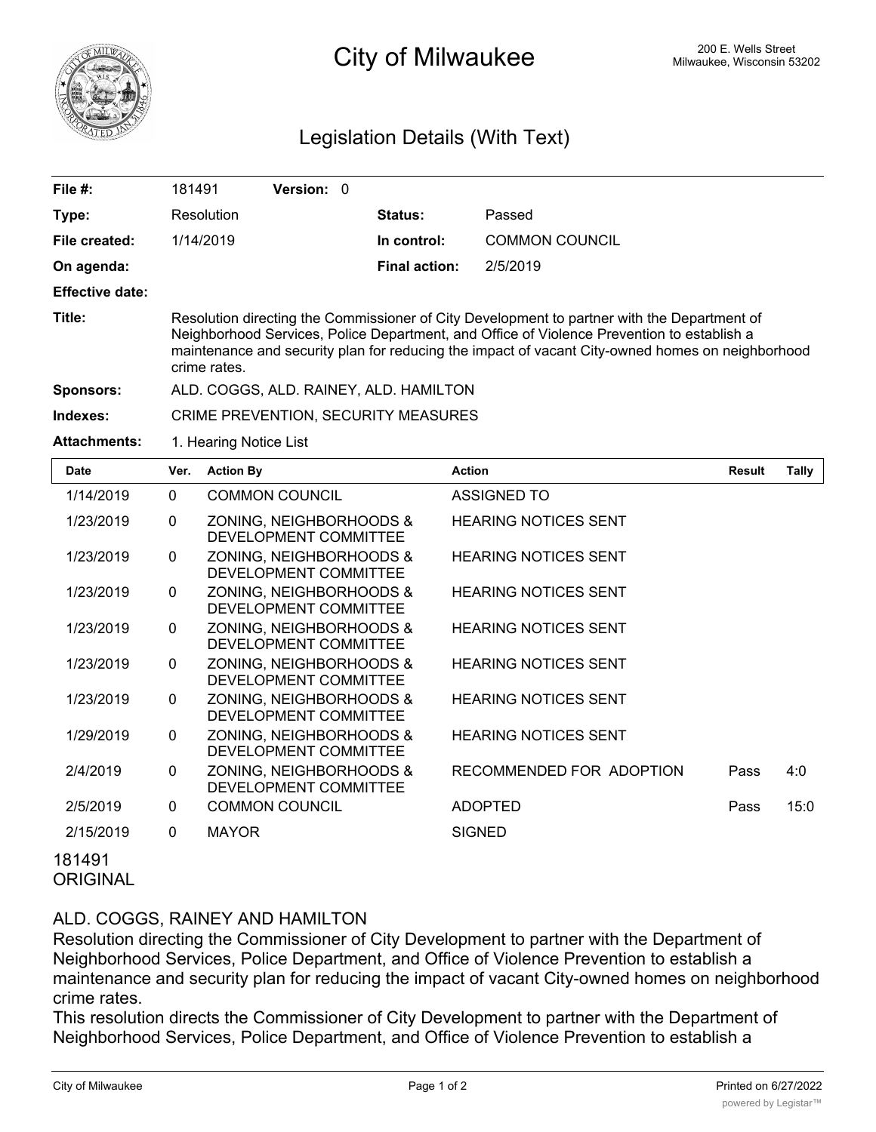

## 200 E. Wells Street 200 E. Wells Street 200 E. Wells Street 200 E. Wells Street

## Legislation Details (With Text)

| File #:                | 181491                                                                                                                                                                                                                                                                                                        | <b>Version: 0</b> |  |                      |                       |  |  |  |
|------------------------|---------------------------------------------------------------------------------------------------------------------------------------------------------------------------------------------------------------------------------------------------------------------------------------------------------------|-------------------|--|----------------------|-----------------------|--|--|--|
| Type:                  | Resolution                                                                                                                                                                                                                                                                                                    |                   |  | Status:              | Passed                |  |  |  |
| File created:          | 1/14/2019                                                                                                                                                                                                                                                                                                     |                   |  | In control:          | <b>COMMON COUNCIL</b> |  |  |  |
| On agenda:             |                                                                                                                                                                                                                                                                                                               |                   |  | <b>Final action:</b> | 2/5/2019              |  |  |  |
| <b>Effective date:</b> |                                                                                                                                                                                                                                                                                                               |                   |  |                      |                       |  |  |  |
| Title:                 | Resolution directing the Commissioner of City Development to partner with the Department of<br>Neighborhood Services, Police Department, and Office of Violence Prevention to establish a<br>maintenance and security plan for reducing the impact of vacant City-owned homes on neighborhood<br>crime rates. |                   |  |                      |                       |  |  |  |
| <b>Sponsors:</b>       | ALD. COGGS, ALD. RAINEY, ALD. HAMILTON                                                                                                                                                                                                                                                                        |                   |  |                      |                       |  |  |  |
| Indexes:               | CRIME PREVENTION, SECURITY MEASURES                                                                                                                                                                                                                                                                           |                   |  |                      |                       |  |  |  |
| <b>Attachments:</b>    | 1. Hearing Notice List                                                                                                                                                                                                                                                                                        |                   |  |                      |                       |  |  |  |
| . .                    |                                                                                                                                                                                                                                                                                                               |                   |  |                      |                       |  |  |  |

| Date      | Ver.         | <b>Action By</b>                                 | <b>Action</b>               | <b>Result</b> | Tally |
|-----------|--------------|--------------------------------------------------|-----------------------------|---------------|-------|
| 1/14/2019 | $\mathbf 0$  | <b>COMMON COUNCIL</b>                            | <b>ASSIGNED TO</b>          |               |       |
| 1/23/2019 | $\mathbf{0}$ | ZONING, NEIGHBORHOODS &<br>DEVELOPMENT COMMITTEE | <b>HEARING NOTICES SENT</b> |               |       |
| 1/23/2019 | $\mathbf{0}$ | ZONING, NEIGHBORHOODS &<br>DEVELOPMENT COMMITTEE | <b>HEARING NOTICES SENT</b> |               |       |
| 1/23/2019 | $\mathbf{0}$ | ZONING, NEIGHBORHOODS &<br>DEVELOPMENT COMMITTEE | <b>HEARING NOTICES SENT</b> |               |       |
| 1/23/2019 | $\mathbf{0}$ | ZONING, NEIGHBORHOODS &<br>DEVELOPMENT COMMITTEE | <b>HEARING NOTICES SENT</b> |               |       |
| 1/23/2019 | $\mathbf{0}$ | ZONING, NEIGHBORHOODS &<br>DEVELOPMENT COMMITTEE | <b>HEARING NOTICES SENT</b> |               |       |
| 1/23/2019 | $\mathbf{0}$ | ZONING, NEIGHBORHOODS &<br>DEVELOPMENT COMMITTEE | <b>HEARING NOTICES SENT</b> |               |       |
| 1/29/2019 | $\mathbf{0}$ | ZONING, NEIGHBORHOODS &<br>DEVELOPMENT COMMITTEE | <b>HEARING NOTICES SENT</b> |               |       |
| 2/4/2019  | $\mathbf{0}$ | ZONING, NEIGHBORHOODS &<br>DEVELOPMENT COMMITTEE | RECOMMENDED FOR ADOPTION    | Pass          | 4:0   |
| 2/5/2019  | $\mathbf{0}$ | <b>COMMON COUNCIL</b>                            | <b>ADOPTED</b>              | Pass          | 15:0  |
| 2/15/2019 | $\mathbf{0}$ | <b>MAYOR</b>                                     | <b>SIGNED</b>               |               |       |
| 181491    |              |                                                  |                             |               |       |

**ORIGINAL** 

## ALD. COGGS, RAINEY AND HAMILTON

Resolution directing the Commissioner of City Development to partner with the Department of Neighborhood Services, Police Department, and Office of Violence Prevention to establish a maintenance and security plan for reducing the impact of vacant City-owned homes on neighborhood crime rates.

This resolution directs the Commissioner of City Development to partner with the Department of Neighborhood Services, Police Department, and Office of Violence Prevention to establish a